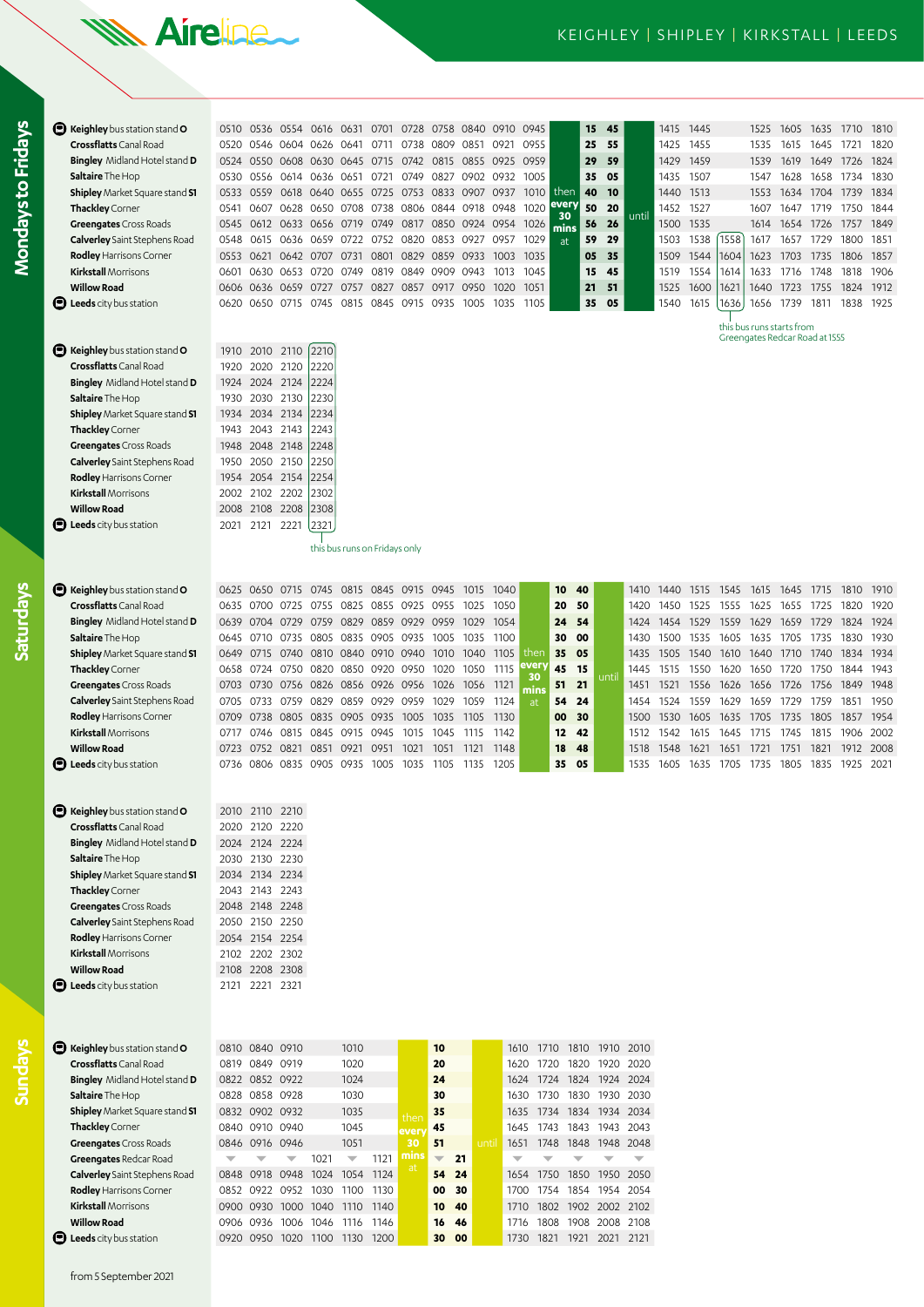## **WA Aireline**

**Kirkstall** Morrisons 0717 0746 0815 0845 0915 0945 1015 1045 1115 1142 **12 42** 1512 1542 1615 1645 1715 1745 1815 1906 2002 **Willow Road** 0723 0752 0821 0851 0921 0951 1021 1051 1121 1148 **18 48** 1518 1548 1621 1651 1721 1751 1821 1912 2008 **Leeds** city bus station 0736 0806 0835 0905 0935 1005 1035 1105 1135 1205 **35 05** 1535 1605 1635 1705 1735 1805 1835 1925 2021

| Reighley bus station stand O          | 0510 0536      |                |           | 0554 0616 0631 0701           |                               |           |      |                | 0728 0758 0840           | 0910 0945 |            |            | 15 | 45    |       | 1415 | 1445 |      | 1525      | 1605                           | 1635 1710      |           | 1810   |
|---------------------------------------|----------------|----------------|-----------|-------------------------------|-------------------------------|-----------|------|----------------|--------------------------|-----------|------------|------------|----|-------|-------|------|------|------|-----------|--------------------------------|----------------|-----------|--------|
| <b>Crossflatts</b> Canal Road         | 0520 0546      |                | 0604      | 0626 0641                     |                               | 0711      | 0738 | 0809           | 0851                     | 0921      | 0955       |            | 25 | 55    |       | 1425 | 1455 |      | 1535      | 1615                           | 1645           | 1721      | 1820   |
| <b>Bingley</b> Midland Hotel stand D  |                |                |           | 0524 0550 0608 0630 0645 0715 |                               |           |      |                | 0742 0815 0855 0925 0959 |           |            |            | 29 | 59    |       | 1429 | 1459 |      | 1539      | 1619                           | 1649 1726      |           | 1824   |
| <b>Saltaire</b> The Hop               | 0530 0556      |                |           | 0614 0636 0651                |                               | 0721      | 0749 |                | 0827 0902 0932 1005      |           |            |            | 35 | 05    |       | 1435 | 1507 |      | 1547      | 1628                           | 1658           | 1734      | 1830   |
| <b>Shipley</b> Market Square stand S1 | 0533 0559      |                | 0618      | 0640 0655 0725                |                               |           |      |                | 0753 0833 0907 0937      |           | 1010       | then       | 40 | 10    |       | 1440 | 1513 |      | 1553      |                                | 1634 1704 1739 |           | - 1834 |
| Thackley Corner                       | 0541           | 0607           |           | 0628 0650 0708                |                               | 0738      |      | 0806 0844      | 0918 0948                |           | 1020       | every      | 50 | 20    |       | 1452 | 1527 |      | 1607      | 1647                           | 1719           | 1750 1844 |        |
| <b>Greengates</b> Cross Roads         | 0545           |                |           | 0612 0633 0656 0719 0749      |                               |           |      |                | 0817 0850 0924 0954 1026 |           |            | 30<br>mins | 56 | 26    | until | 1500 | 1535 |      | 1614      | 1654                           | 1726           | 1757      | 1849   |
| <b>Calverley</b> Saint Stephens Road  | 0548           | 0615           | 0636      | 0659 0722                     |                               | 0752      |      | 0820 0853 0927 |                          | 0957      | 1029       | at         | 59 | 29    |       | 1503 | 1538 | 1558 | 1617      | 1657                           | 1729           | 1800      | 1851   |
| <b>Rodley Harrisons Corner</b>        | 0553 0621      |                | 0642 0707 |                               | 0731 0801                     |           | 0829 | 0859 0933      |                          | 1003      | 1035       |            | 05 | 35    |       | 1509 | 1544 | 1604 | 1623      | 1703                           | 1735           | 1806      | 1857   |
| <b>Kirkstall</b> Morrisons            | 0601           | 0630           | 0653      | 0720                          | 0749                          | 0819      | 0849 | 0909           | 0943                     | 1013      | 1045       |            | 15 | 45    |       | 1519 | 1554 | 1614 | 1633      | 1716                           | 1748           | 1818      | 1906   |
| <b>Willow Road</b>                    | 0606           |                | 0636 0659 | 0727                          |                               | 0757 0827 |      | 0857 0917 0950 |                          | 1020      | 1051       |            | 21 | 51    |       | 1525 | 1600 | 1621 | 1640      | 1723                           | 1755           | 1824      | 1912   |
| <b>D</b> Leeds city bus station       | 0620           | 0650 0715      |           | 0745                          | 0815                          | 0845      | 0915 | 0935           | 1005                     | 1035      | 1105       |            | 35 | 05    |       | 1540 | 1615 | 1636 | 1656      | 1739                           | 1811           | 1838      | 1925   |
|                                       |                |                |           |                               |                               |           |      |                |                          |           |            |            |    |       |       |      |      |      |           | this bus runs starts from      |                |           |        |
|                                       |                |                |           |                               |                               |           |      |                |                          |           |            |            |    |       |       |      |      |      |           | Greengates Redcar Road at 1555 |                |           |        |
| <b>B</b> Keighley bus station stand O | 1910 2010 2110 |                |           | 2210                          |                               |           |      |                |                          |           |            |            |    |       |       |      |      |      |           |                                |                |           |        |
| Crossflatts Canal Road                | 1920           | 2020 2120      |           | 2220                          |                               |           |      |                |                          |           |            |            |    |       |       |      |      |      |           |                                |                |           |        |
| <b>Bingley</b> Midland Hotel stand D  | 1924 2024 2124 |                |           | 2224                          |                               |           |      |                |                          |           |            |            |    |       |       |      |      |      |           |                                |                |           |        |
| Saltaire The Hop                      | 1930           | 2030 2130      |           | 2230                          |                               |           |      |                |                          |           |            |            |    |       |       |      |      |      |           |                                |                |           |        |
| Shipley Market Square stand S1        | 1934 2034 2134 |                |           | 2234                          |                               |           |      |                |                          |           |            |            |    |       |       |      |      |      |           |                                |                |           |        |
| Thackley Corner                       | 1943           | 2043 2143      |           | 2243                          |                               |           |      |                |                          |           |            |            |    |       |       |      |      |      |           |                                |                |           |        |
| <b>Greengates</b> Cross Roads         | 1948 2048 2148 |                |           | 2248                          |                               |           |      |                |                          |           |            |            |    |       |       |      |      |      |           |                                |                |           |        |
| <b>Calverley</b> Saint Stephens Road  | 1950           | 2050 2150      |           | 2250                          |                               |           |      |                |                          |           |            |            |    |       |       |      |      |      |           |                                |                |           |        |
| Rodley Harrisons Corner               |                | 1954 2054 2154 |           | 2254                          |                               |           |      |                |                          |           |            |            |    |       |       |      |      |      |           |                                |                |           |        |
| <b>Kirkstall</b> Morrisons            | 2002           | 2102 2202      |           | 2302                          |                               |           |      |                |                          |           |            |            |    |       |       |      |      |      |           |                                |                |           |        |
| <b>Willow Road</b>                    | 2008           | 2108 2208      |           | 2308                          |                               |           |      |                |                          |           |            |            |    |       |       |      |      |      |           |                                |                |           |        |
| <b>D</b> Leeds city bus station       | 2021           | 2121           | 2221      | 2321                          |                               |           |      |                |                          |           |            |            |    |       |       |      |      |      |           |                                |                |           |        |
|                                       |                |                |           |                               | this bus runs on Fridays only |           |      |                |                          |           |            |            |    |       |       |      |      |      |           |                                |                |           |        |
|                                       |                |                |           |                               |                               |           |      |                |                          |           |            |            |    |       |       |      |      |      |           |                                |                |           |        |
| Reighley bus station stand O          | 0625 0650      |                | 0715      | 0745                          | 0815 0845                     |           |      | 0915 0945      | 1015                     | 1040      |            | 10         | 40 |       | 1410  | 1440 | 1515 | 1545 | 1615      | 1645                           | 1715           | 1810      | 1910   |
| Crossflatts Canal Road                | 0635           | 0700           | 0725      | 0755                          | 0825 0855                     |           | 0925 | 0955           | 1025                     | 1050      |            | 20         | 50 |       | 1420  | 1450 | 1525 | 1555 | 1625      | 1655                           | 1725           | 1820      | 1920   |
| <b>Bingley</b> Midland Hotel stand D  | 0639 0704 0729 |                |           | 0759                          | 0829 0859                     |           |      | 0929 0959 1029 |                          | 1054      |            | 24         | 54 |       | 1424  | 1454 | 1529 | 1559 | 1629      | 1659                           | 1729           | 1824      | 1924   |
| <b>Saltaire</b> The Hop               | 0645           | 0710           | 0735      |                               | 0805 0835 0905                |           | 0935 | 1005           | 1035                     | 1100      |            | 30         | 00 |       | 1430  | 1500 | 1535 | 1605 | 1635      | 1705                           | 1735           | 1830      | 1930   |
| <b>Shipley</b> Market Square stand S1 | 0649           | 0715           | 0740      |                               | 0810 0840 0910 0940           |           |      |                | 1010 1040                | 1105      | then       | 35         | 05 |       | 1435  | 1505 | 1540 |      | 1610 1640 |                                | 1710 1740 1834 |           | 1934   |
| Thackley Corner                       | 0658 0724 0750 |                |           |                               | 0820 0850 0920                |           | 0950 | 1020 1050      |                          | 1115      | ever       | 45         | 15 |       | 1445  | 1515 | 1550 | 1620 | 1650      | 1720 1750                      |                | 1844 1943 |        |
| <b>Greengates</b> Cross Roads         | 0703           | 0730           | 0756      | 0826 0856 0926 0956           |                               |           |      | 1026 1056      |                          | -1121     | 30<br>mins | 51         | 21 | until | 1451  | 1521 | 1556 | 1626 | 1656      | 1726                           | 1756           | 1849      | 1948   |
| <b>Calverley</b> Saint Stephens Road  | 0705           | 0733           | 0759      | 0829                          | 0859                          | 0929      | 0959 | 1029           | 1059                     | 1124      | at         | 54         | 24 |       | 1454  | 1524 | 1559 | 1629 | 1659      | 1729                           | 1759           | 1851      | 1950   |
| <b>Rodley Harrisons Corner</b>        | 0709           | 0738 0805      |           | 0835 0905 0935                |                               |           | 1005 | 1035           | 1105                     | 1130      |            | 00         | 30 |       | 1500  | 1530 | 1605 | 1635 | 1705      | 1735                           | 1805           | 1857      | 1954   |

| <b>Rodley Harrisons Corner</b> |  |  |                                    |      |      | 0709 0738 0805 0835 0905 0935 1005 1035 1105 1130 | 00 30 |               |                | 1500 1530 1605 |      |
|--------------------------------|--|--|------------------------------------|------|------|---------------------------------------------------|-------|---------------|----------------|----------------|------|
| <b>Kirkstall Morrisons</b>     |  |  |                                    |      |      | 0717 0746 0815 0845 0915 0945 1015 1045 1115 1142 |       | $12 \quad 42$ | 1512 1542      |                | 1615 |
| <b>Willow Road</b>             |  |  | 0723 0752 0821 0851 0921 0951 1021 | 1051 | 1121 | 1148                                              | 18 48 |               |                | 1518 1548 1621 |      |
| Leeds city bus station         |  |  |                                    |      |      | 0736 0806 0835 0905 0935 1005 1035 1105 1135 1205 | 35 05 |               | 1535 1605 1635 |                |      |
|                                |  |  |                                    |      |      |                                                   |       |               |                |                |      |
|                                |  |  |                                    |      |      |                                                   |       |               |                |                |      |

| Keighley bus station stand O          |      | 2010 2110 2210 |      |
|---------------------------------------|------|----------------|------|
| <b>Crossflatts</b> Canal Road         |      | 2020 2120 2220 |      |
| <b>Bingley</b> Midland Hotel stand D  |      | 2024 2124 2224 |      |
| Saltaire The Hop                      |      | 2030 2130 2230 |      |
| <b>Shipley</b> Market Square stand S1 |      | 2034 2134 2234 |      |
| Thackley Corner                       |      | 2043 2143 2243 |      |
| <b>Greengates</b> Cross Roads         |      | 2048 2148 2248 |      |
| <b>Calverley</b> Saint Stephens Road  |      | 2050 2150 2250 |      |
| Rodley Harrisons Corner               |      | 2054 2154 2254 |      |
| <b>Kirkstall</b> Morrisons            |      | 2102 2202 2302 |      |
| <b>Willow Road</b>                    |      | 2108 2208 2308 |      |
| Leeds city bus station                | 2121 | 2221           | 2321 |

**Mondays to Fridays**

Mondays to Fridays

**Saturdays**

| Keighley bus station stand O<br>o           | 0810 | 0840 0910 |      |      | 1010 |      |      | 10                       |    |      | 1610 | 1710 | 1810 | 1910 | 2010 |
|---------------------------------------------|------|-----------|------|------|------|------|------|--------------------------|----|------|------|------|------|------|------|
| <b>Crossflatts</b> Canal Road               | 0819 | 0849      | 0919 |      | 1020 |      |      | 20                       |    |      | 1620 | 1720 | 1820 | 1920 | 2020 |
| <b>Bingley</b> Midland Hotel stand <b>D</b> | 0822 | 0852 0922 |      |      | 1024 |      |      | 24                       |    |      | 1624 | 1724 | 1824 | 1924 | 2024 |
| Saltaire The Hop                            | 0828 | 0858 0928 |      |      | 1030 |      |      | 30                       |    |      | 1630 | 1730 | 1830 | 1930 | 2030 |
| <b>Shipley</b> Market Square stand S1       | 0832 | 0902      | 0932 |      | 1035 |      | then | 35                       |    |      | 1635 | 1734 | 1834 | 1934 | 2034 |
| Thackley Corner                             | 0840 | 0910      | 0940 |      | 1045 |      | ever | 45                       |    |      | 1645 | 1743 | 1843 | 1943 | 2043 |
| <b>Greengates</b> Cross Roads               | 0846 | 0916 0946 |      |      | 1051 |      | 30   | 51                       |    | unti | 1651 | 1748 | 1848 | 1948 | 2048 |
| Greengates Redcar Road                      | ▼    |           | ▼    | 1021 | ▼    | 1121 | mins | $\overline{\phantom{a}}$ | 21 |      |      |      |      |      |      |
| <b>Calverley</b> Saint Stephens Road        | 0848 | 0918      | 0948 | 1024 | 1054 | 1124 | at   | 54                       | 24 |      | 1654 | 1750 | 1850 | 1950 | 2050 |
| Rodley Harrisons Corner                     | 0852 | 0922      | 0952 | 1030 | 1100 | 1130 |      | 00                       | 30 |      | 1700 | 1754 | 1854 | 1954 | 2054 |
| <b>Kirkstall</b> Morrisons                  | 0900 | 0930      | 1000 | 1040 | 1110 | 1140 |      | 10                       | 40 |      | 1710 | 1802 | 1902 | 2002 | 2102 |
| <b>Willow Road</b>                          | 0906 | 0936      | 1006 | 1046 | 1116 | 1146 |      | 16                       | 46 |      | 1716 | 1808 | 1908 | 2008 | 2108 |
| Leeds city bus station<br>O                 | 0920 | 0950      | 1020 | 1100 | 1130 | 1200 |      | 30                       | 00 |      | 1730 | 1821 | 1921 | 2021 | 2121 |